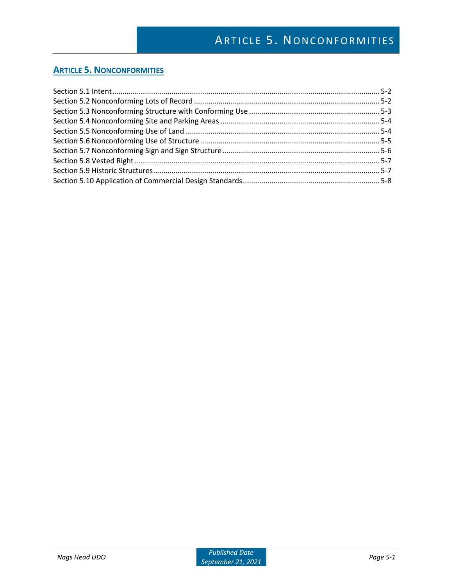## **ARTICLE 5. NONCONFORMITIES**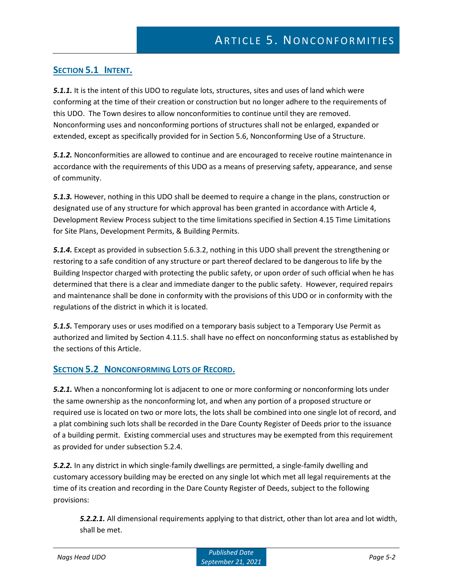## **SECTION 5.1 INTENT.**

**5.1.1.** It is the intent of this UDO to regulate lots, structures, sites and uses of land which were conforming at the time of their creation or construction but no longer adhere to the requirements of this UDO. The Town desires to allow nonconformities to continue until they are removed. Nonconforming uses and nonconforming portions of structures shall not be enlarged, expanded or extended, except as specifically provided for in Section 5.6, Nonconforming Use of a Structure.

*5.1.2.* Nonconformities are allowed to continue and are encouraged to receive routine maintenance in accordance with the requirements of this UDO as a means of preserving safety, appearance, and sense of community.

*5.1.3.* However, nothing in this UDO shall be deemed to require a change in the plans, construction or designated use of any structure for which approval has been granted in accordance with Article 4, Development Review Process subject to the time limitations specified in Section 4.15 Time Limitations for Site Plans, Development Permits, & Building Permits.

*5.1.4.* Except as provided in subsection 5.6.3.2, nothing in this UDO shall prevent the strengthening or restoring to a safe condition of any structure or part thereof declared to be dangerous to life by the Building Inspector charged with protecting the public safety, or upon order of such official when he has determined that there is a clear and immediate danger to the public safety. However, required repairs and maintenance shall be done in conformity with the provisions of this UDO or in conformity with the regulations of the district in which it is located.

*5.1.5.* Temporary uses or uses modified on a temporary basis subject to a Temporary Use Permit as authorized and limited by Section 4.11.5. shall have no effect on nonconforming status as established by the sections of this Article.

### **SECTION 5.2 NONCONFORMING LOTS OF RECORD.**

*5.2.1.* When a nonconforming lot is adjacent to one or more conforming or nonconforming lots under the same ownership as the nonconforming lot, and when any portion of a proposed structure or required use is located on two or more lots, the lots shall be combined into one single lot of record, and a plat combining such lots shall be recorded in the Dare County Register of Deeds prior to the issuance of a building permit. Existing commercial uses and structures may be exempted from this requirement as provided for under subsection 5.2.4.

*5.2.2.* In any district in which single-family dwellings are permitted, a single-family dwelling and customary accessory building may be erected on any single lot which met all legal requirements at the time of its creation and recording in the Dare County Register of Deeds, subject to the following provisions:

*5.2.2.1.* All dimensional requirements applying to that district, other than lot area and lot width, shall be met.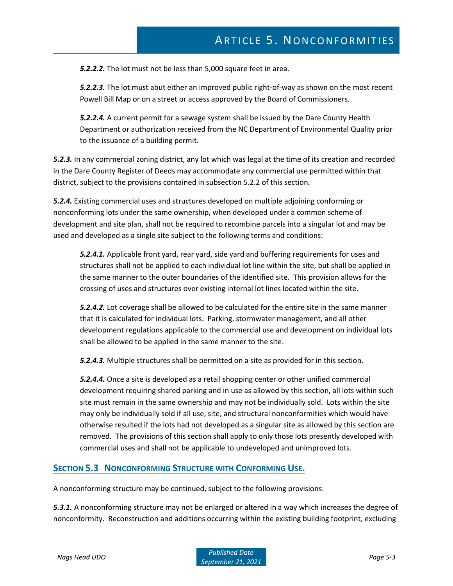*5.2.2.2.* The lot must not be less than 5,000 square feet in area.

*5.2.2.3.* The lot must abut either an improved public right-of-way as shown on the most recent Powell Bill Map or on a street or access approved by the Board of Commissioners.

*5.2.2.4.* A current permit for a sewage system shall be issued by the Dare County Health Department or authorization received from the NC Department of Environmental Quality prior to the issuance of a building permit.

*5.2.3.* In any commercial zoning district, any lot which was legal at the time of its creation and recorded in the Dare County Register of Deeds may accommodate any commercial use permitted within that district, subject to the provisions contained in subsection 5.2.2 of this section.

*5.2.4.* Existing commercial uses and structures developed on multiple adjoining conforming or nonconforming lots under the same ownership, when developed under a common scheme of development and site plan, shall not be required to recombine parcels into a singular lot and may be used and developed as a single site subject to the following terms and conditions:

*5.2.4.1.* Applicable front yard, rear yard, side yard and buffering requirements for uses and structures shall not be applied to each individual lot line within the site, but shall be applied in the same manner to the outer boundaries of the identified site. This provision allows for the crossing of uses and structures over existing internal lot lines located within the site.

*5.2.4.2.* Lot coverage shall be allowed to be calculated for the entire site in the same manner that it is calculated for individual lots. Parking, stormwater management, and all other development regulations applicable to the commercial use and development on individual lots shall be allowed to be applied in the same manner to the site.

*5.2.4.3.* Multiple structures shall be permitted on a site as provided for in this section.

*5.2.4.4.* Once a site is developed as a retail shopping center or other unified commercial development requiring shared parking and in use as allowed by this section, all lots within such site must remain in the same ownership and may not be individually sold. Lots within the site may only be individually sold if all use, site, and structural nonconformities which would have otherwise resulted if the lots had not developed as a singular site as allowed by this section are removed. The provisions of this section shall apply to only those lots presently developed with commercial uses and shall not be applicable to undeveloped and unimproved lots.

#### **SECTION 5.3 NONCONFORMING STRUCTURE WITH CONFORMING USE.**

A nonconforming structure may be continued, subject to the following provisions:

*5.3.1.* A nonconforming structure may not be enlarged or altered in a way which increases the degree of nonconformity. Reconstruction and additions occurring within the existing building footprint, excluding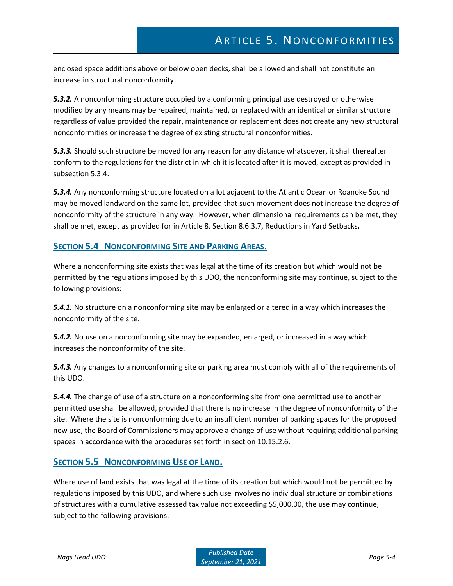enclosed space additions above or below open decks, shall be allowed and shall not constitute an increase in structural nonconformity.

*5.3.2.* A nonconforming structure occupied by a conforming principal use destroyed or otherwise modified by any means may be repaired, maintained, or replaced with an identical or similar structure regardless of value provided the repair, maintenance or replacement does not create any new structural nonconformities or increase the degree of existing structural nonconformities.

*5.3.3.* Should such structure be moved for any reason for any distance whatsoever, it shall thereafter conform to the regulations for the district in which it is located after it is moved, except as provided in subsection 5.3.4.

*5.3.4.* Any nonconforming structure located on a lot adjacent to the Atlantic Ocean or Roanoke Sound may be moved landward on the same lot, provided that such movement does not increase the degree of nonconformity of the structure in any way. However, when dimensional requirements can be met, they shall be met, except as provided for in Article 8, Section 8.6.3.7, Reductions in Yard Setbacks*.*

### **SECTION 5.4 NONCONFORMING SITE AND PARKING AREAS.**

Where a nonconforming site exists that was legal at the time of its creation but which would not be permitted by the regulations imposed by this UDO, the nonconforming site may continue, subject to the following provisions:

*5.4.1.* No structure on a nonconforming site may be enlarged or altered in a way which increases the nonconformity of the site.

*5.4.2.* No use on a nonconforming site may be expanded, enlarged, or increased in a way which increases the nonconformity of the site.

*5.4.3.* Any changes to a nonconforming site or parking area must comply with all of the requirements of this UDO.

*5.4.4.* The change of use of a structure on a nonconforming site from one permitted use to another permitted use shall be allowed, provided that there is no increase in the degree of nonconformity of the site. Where the site is nonconforming due to an insufficient number of parking spaces for the proposed new use, the Board of Commissioners may approve a change of use without requiring additional parking spaces in accordance with the procedures set forth in section 10.15.2.6.

### **SECTION 5.5 NONCONFORMING USE OF LAND.**

Where use of land exists that was legal at the time of its creation but which would not be permitted by regulations imposed by this UDO, and where such use involves no individual structure or combinations of structures with a cumulative assessed tax value not exceeding \$5,000.00, the use may continue, subject to the following provisions: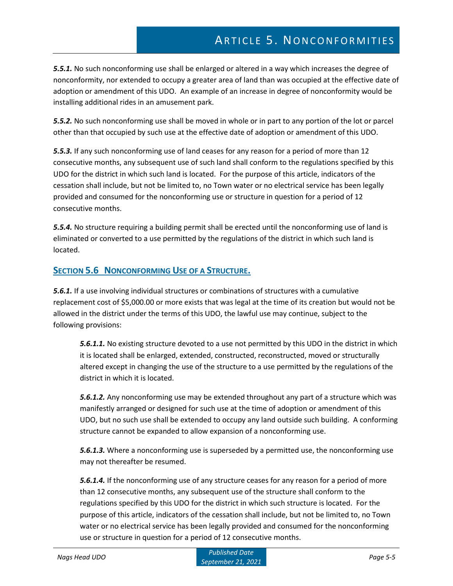# ARTICLE 5. NONCONFORMITIES

*5.5.1.* No such nonconforming use shall be enlarged or altered in a way which increases the degree of nonconformity, nor extended to occupy a greater area of land than was occupied at the effective date of adoption or amendment of this UDO. An example of an increase in degree of nonconformity would be installing additional rides in an amusement park.

*5.5.2.* No such nonconforming use shall be moved in whole or in part to any portion of the lot or parcel other than that occupied by such use at the effective date of adoption or amendment of this UDO.

*5.5.3.* If any such nonconforming use of land ceases for any reason for a period of more than 12 consecutive months, any subsequent use of such land shall conform to the regulations specified by this UDO for the district in which such land is located. For the purpose of this article, indicators of the cessation shall include, but not be limited to, no Town water or no electrical service has been legally provided and consumed for the nonconforming use or structure in question for a period of 12 consecutive months.

*5.5.4.* No structure requiring a building permit shall be erected until the nonconforming use of land is eliminated or converted to a use permitted by the regulations of the district in which such land is located.

### **SECTION 5.6 NONCONFORMING USE OF A STRUCTURE.**

*5.6.1.* If a use involving individual structures or combinations of structures with a cumulative replacement cost of \$5,000.00 or more exists that was legal at the time of its creation but would not be allowed in the district under the terms of this UDO, the lawful use may continue, subject to the following provisions:

*5.6.1.1.* No existing structure devoted to a use not permitted by this UDO in the district in which it is located shall be enlarged, extended, constructed, reconstructed, moved or structurally altered except in changing the use of the structure to a use permitted by the regulations of the district in which it is located.

*5.6.1.2.* Any nonconforming use may be extended throughout any part of a structure which was manifestly arranged or designed for such use at the time of adoption or amendment of this UDO, but no such use shall be extended to occupy any land outside such building. A conforming structure cannot be expanded to allow expansion of a nonconforming use.

*5.6.1.3.* Where a nonconforming use is superseded by a permitted use, the nonconforming use may not thereafter be resumed.

*5.6.1.4.* If the nonconforming use of any structure ceases for any reason for a period of more than 12 consecutive months, any subsequent use of the structure shall conform to the regulations specified by this UDO for the district in which such structure is located. For the purpose of this article, indicators of the cessation shall include, but not be limited to, no Town water or no electrical service has been legally provided and consumed for the nonconforming use or structure in question for a period of 12 consecutive months.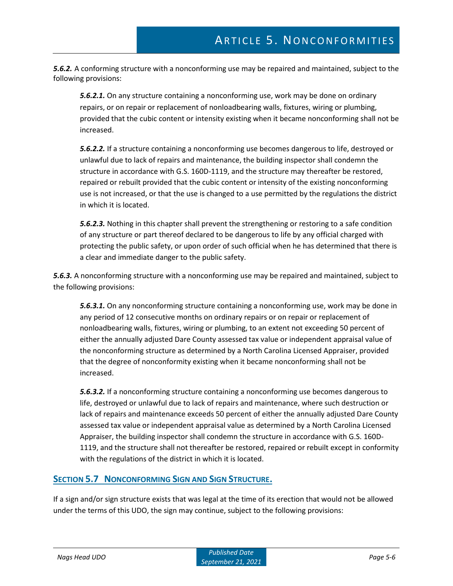*5.6.2.* A conforming structure with a nonconforming use may be repaired and maintained, subject to the following provisions:

*5.6.2.1.* On any structure containing a nonconforming use, work may be done on ordinary repairs, or on repair or replacement of nonloadbearing walls, fixtures, wiring or plumbing, provided that the cubic content or intensity existing when it became nonconforming shall not be increased.

*5.6.2.2.* If a structure containing a nonconforming use becomes dangerous to life, destroyed or unlawful due to lack of repairs and maintenance, the building inspector shall condemn the structure in accordance with G.S. 160D-1119, and the structure may thereafter be restored, repaired or rebuilt provided that the cubic content or intensity of the existing nonconforming use is not increased, or that the use is changed to a use permitted by the regulations the district in which it is located.

*5.6.2.3.* Nothing in this chapter shall prevent the strengthening or restoring to a safe condition of any structure or part thereof declared to be dangerous to life by any official charged with protecting the public safety, or upon order of such official when he has determined that there is a clear and immediate danger to the public safety.

*5.6.3.* A nonconforming structure with a nonconforming use may be repaired and maintained, subject to the following provisions:

*5.6.3.1.* On any nonconforming structure containing a nonconforming use, work may be done in any period of 12 consecutive months on ordinary repairs or on repair or replacement of nonloadbearing walls, fixtures, wiring or plumbing, to an extent not exceeding 50 percent of either the annually adjusted Dare County assessed tax value or independent appraisal value of the nonconforming structure as determined by a North Carolina Licensed Appraiser, provided that the degree of nonconformity existing when it became nonconforming shall not be increased.

*5.6.3.2.* If a nonconforming structure containing a nonconforming use becomes dangerous to life, destroyed or unlawful due to lack of repairs and maintenance, where such destruction or lack of repairs and maintenance exceeds 50 percent of either the annually adjusted Dare County assessed tax value or independent appraisal value as determined by a North Carolina Licensed Appraiser, the building inspector shall condemn the structure in accordance with G.S. 160D-1119, and the structure shall not thereafter be restored, repaired or rebuilt except in conformity with the regulations of the district in which it is located.

### **SECTION 5.7 NONCONFORMING SIGN AND SIGN STRUCTURE.**

If a sign and/or sign structure exists that was legal at the time of its erection that would not be allowed under the terms of this UDO, the sign may continue, subject to the following provisions: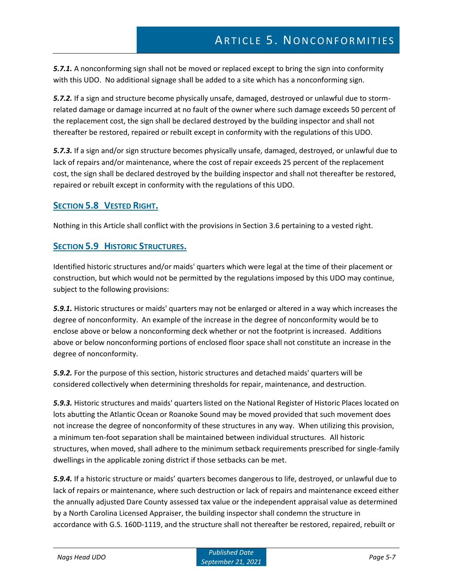*5.7.1.* A nonconforming sign shall not be moved or replaced except to bring the sign into conformity with this UDO. No additional signage shall be added to a site which has a nonconforming sign.

*5.7.2.* If a sign and structure become physically unsafe, damaged, destroyed or unlawful due to stormrelated damage or damage incurred at no fault of the owner where such damage exceeds 50 percent of the replacement cost, the sign shall be declared destroyed by the building inspector and shall not thereafter be restored, repaired or rebuilt except in conformity with the regulations of this UDO.

*5.7.3.* If a sign and/or sign structure becomes physically unsafe, damaged, destroyed, or unlawful due to lack of repairs and/or maintenance, where the cost of repair exceeds 25 percent of the replacement cost, the sign shall be declared destroyed by the building inspector and shall not thereafter be restored, repaired or rebuilt except in conformity with the regulations of this UDO.

### **SECTION 5.8 VESTED RIGHT.**

Nothing in this Article shall conflict with the provisions in Section 3.6 pertaining to a vested right.

### **SECTION 5.9 HISTORIC STRUCTURES.**

Identified historic structures and/or maids' quarters which were legal at the time of their placement or construction, but which would not be permitted by the regulations imposed by this UDO may continue, subject to the following provisions:

*5.9.1.* Historic structures or maids' quarters may not be enlarged or altered in a way which increases the degree of nonconformity. An example of the increase in the degree of nonconformity would be to enclose above or below a nonconforming deck whether or not the footprint is increased. Additions above or below nonconforming portions of enclosed floor space shall not constitute an increase in the degree of nonconformity.

*5.9.2.* For the purpose of this section, historic structures and detached maids' quarters will be considered collectively when determining thresholds for repair, maintenance, and destruction.

*5.9.3.* Historic structures and maids' quarters listed on the National Register of Historic Places located on lots abutting the Atlantic Ocean or Roanoke Sound may be moved provided that such movement does not increase the degree of nonconformity of these structures in any way. When utilizing this provision, a minimum ten-foot separation shall be maintained between individual structures. All historic structures, when moved, shall adhere to the minimum setback requirements prescribed for single-family dwellings in the applicable zoning district if those setbacks can be met.

*5.9.4.* If a historic structure or maids' quarters becomes dangerous to life, destroyed, or unlawful due to lack of repairs or maintenance, where such destruction or lack of repairs and maintenance exceed either the annually adjusted Dare County assessed tax value or the independent appraisal value as determined by a North Carolina Licensed Appraiser, the building inspector shall condemn the structure in accordance with G.S. 160D-1119, and the structure shall not thereafter be restored, repaired, rebuilt or